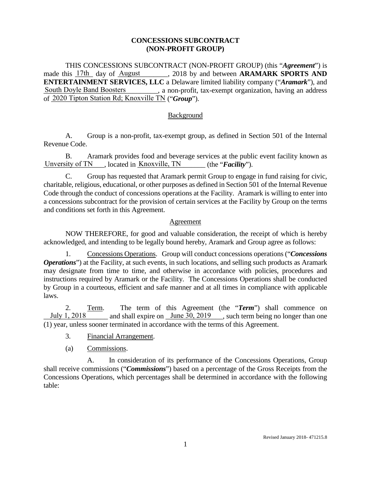### **CONCESSIONS SUBCONTRACT (NON-PROFIT GROUP)**

THIS CONCESSIONS SUBCONTRACT (NON-PROFIT GROUP) (this "*Agreement*") is made this  $\frac{17\text{th}}{17\text{th}}$  day of August ..., 2018 by and between **ARAMARK SPORTS AND ENTERTAINMENT SERVICES, LLC** a Delaware limited liability company ("*Aramark*"), and South Doyle Band Boosters \_\_\_\_\_\_\_, a non-profit, tax-exempt organization, having an address of 2020 Tipton Station Rd; Knoxville TN ("*Group*").

### **Background**

A. Group is a non-profit, tax-exempt group, as defined in Section 501 of the Internal Revenue Code.

B. Aramark provides food and beverage services at the public event facility known as Unversity of TN clocated in Knoxville, TN (the "**Facility**").

C. Group has requested that Aramark permit Group to engage in fund raising for civic, charitable, religious, educational, or other purposes as defined in Section 501 of the Internal Revenue Code through the conduct of concessions operations at the Facility. Aramark is willing to enter into a concessions subcontract for the provision of certain services at the Facility by Group on the terms and conditions set forth in this Agreement.

### Agreement

NOW THEREFORE, for good and valuable consideration, the receipt of which is hereby acknowledged, and intending to be legally bound hereby, Aramark and Group agree as follows:

1. Concessions Operations. Group will conduct concessions operations ("*Concessions Operations*") at the Facility, at such events, in such locations, and selling such products as Aramark may designate from time to time, and otherwise in accordance with policies, procedures and instructions required by Aramark or the Facility. The Concessions Operations shall be conducted by Group in a courteous, efficient and safe manner and at all times in compliance with applicable laws. Unversity of TN ..., located in <u>Knoxville, TN</u> (the C. Group has requested that Aramark permit Charitable, religious, educational, or other purposes as defined Code through the conduct of concessions operations at the a

2. Term. The term of this Agreement (the "*Term*") shall commence on  $\underline{\text{July 1, 2018}}$  and shall expire on  $\underline{\text{June 30, 2019}}$ , such term being no longer than one (1) year, unless sooner terminated in accordance with the terms of this Agreement.

- 3. Financial Arrangement.
- (a) Commissions.

A. In consideration of its performance of the Concessions Operations, Group shall receive commissions ("*Commissions*") based on a percentage of the Gross Receipts from the Concessions Operations, which percentages shall be determined in accordance with the following table: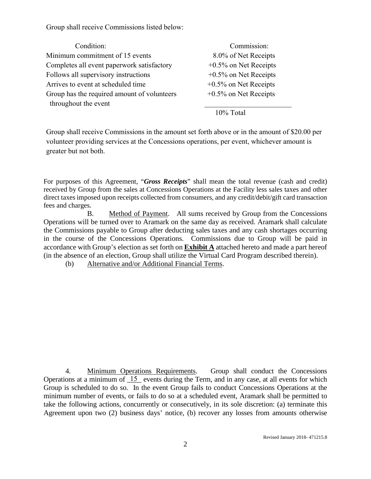Group shall receive Commissions listed below:

| Condition:                                  | Commission:              |
|---------------------------------------------|--------------------------|
| Minimum commitment of 15 events             | 8.0% of Net Receipts     |
| Completes all event paperwork satisfactory  | $+0.5\%$ on Net Receipts |
| Follows all supervisory instructions        | $+0.5\%$ on Net Receipts |
| Arrives to event at scheduled time          | $+0.5\%$ on Net Receipts |
| Group has the required amount of volunteers | $+0.5\%$ on Net Receipts |
| throughout the event                        |                          |

10% Total

Group shall receive Commissions in the amount set forth above or in the amount of \$20.00 per volunteer providing services at the Concessions operations, per event, whichever amount is greater but not both.

For purposes of this Agreement, "*Gross Receipts*" shall mean the total revenue (cash and credit) received by Group from the sales at Concessions Operations at the Facility less sales taxes and other direct taxes imposed upon receipts collected from consumers, and any credit/debit/gift card transaction fees and charges.

B. Method of Payment. All sums received by Group from the Concessions Operations will be turned over to Aramark on the same day as received. Aramark shall calculate the Commissions payable to Group after deducting sales taxes and any cash shortages occurring in the course of the Concessions Operations. Commissions due to Group will be paid in accordance with Group's election as set forth on **Exhibit A** attached hereto and made a part hereof (in the absence of an election, Group shall utilize the Virtual Card Program described therein).

(b) Alternative and/or Additional Financial Terms.

4. Minimum Operations Requirements. Group shall conduct the Concessions Operations at a minimum of  $15$  events during the Term, and in any case, at all events for which Group is scheduled to do so. In the event Group fails to conduct Concessions Operations at the minimum number of events, or fails to do so at a scheduled event, Aramark shall be permitted to take the following actions, concurrently or consecutively, in its sole discretion: (a) terminate this Agreement upon two (2) business days' notice, (b) recover any losses from amounts otherwise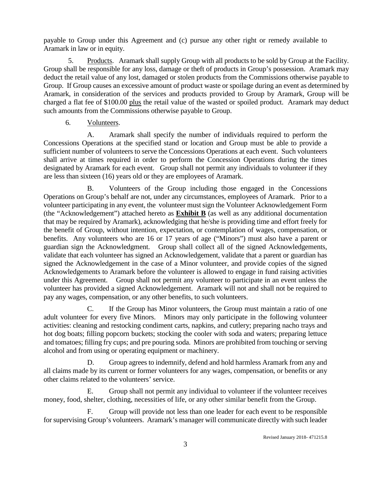payable to Group under this Agreement and (c) pursue any other right or remedy available to Aramark in law or in equity.

5. Products. Aramark shall supply Group with all products to be sold by Group at the Facility. Group shall be responsible for any loss, damage or theft of products in Group's possession. Aramark may deduct the retail value of any lost, damaged or stolen products from the Commissions otherwise payable to Group. If Group causes an excessive amount of product waste or spoilage during an event as determined by Aramark, in consideration of the services and products provided to Group by Aramark, Group will be charged a flat fee of \$100.00 plus the retail value of the wasted or spoiled product. Aramark may deduct such amounts from the Commissions otherwise payable to Group.

6. Volunteers.

A. Aramark shall specify the number of individuals required to perform the Concessions Operations at the specified stand or location and Group must be able to provide a sufficient number of volunteers to serve the Concessions Operations at each event. Such volunteers shall arrive at times required in order to perform the Concession Operations during the times designated by Aramark for each event. Group shall not permit any individuals to volunteer if they are less than sixteen (16) years old or they are employees of Aramark.

B. Volunteers of the Group including those engaged in the Concessions Operations on Group's behalf are not, under any circumstances, employees of Aramark. Prior to a volunteer participating in any event, the volunteer must sign the Volunteer Acknowledgement Form (the "Acknowledgement") attached hereto as **Exhibit B** (as well as any additional documentation that may be required by Aramark), acknowledging that he/she is providing time and effort freely for the benefit of Group, without intention, expectation, or contemplation of wages, compensation, or benefits. Any volunteers who are 16 or 17 years of age ("Minors") must also have a parent or guardian sign the Acknowledgment. Group shall collect all of the signed Acknowledgements, validate that each volunteer has signed an Acknowledgement, validate that a parent or guardian has signed the Acknowledgement in the case of a Minor volunteer, and provide copies of the signed Acknowledgements to Aramark before the volunteer is allowed to engage in fund raising activities under this Agreement. Group shall not permit any volunteer to participate in an event unless the volunteer has provided a signed Acknowledgement. Aramark will not and shall not be required to pay any wages, compensation, or any other benefits, to such volunteers.

C. If the Group has Minor volunteers, the Group must maintain a ratio of one adult volunteer for every five Minors. Minors may only participate in the following volunteer activities: cleaning and restocking condiment carts, napkins, and cutlery; preparing nacho trays and hot dog boats; filling popcorn buckets; stocking the cooler with soda and waters; preparing lettuce and tomatoes; filling fry cups; and pre pouring soda. Minors are prohibited from touching or serving alcohol and from using or operating equipment or machinery.

D. Group agrees to indemnify, defend and hold harmless Aramark from any and all claims made by its current or former volunteers for any wages, compensation, or benefits or any other claims related to the volunteers' service.

E. Group shall not permit any individual to volunteer if the volunteer receives money, food, shelter, clothing, necessities of life, or any other similar benefit from the Group.

F. Group will provide not less than one leader for each event to be responsible for supervising Group's volunteers. Aramark's manager will communicate directly with such leader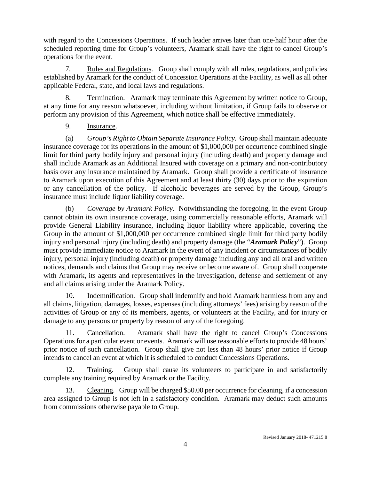with regard to the Concessions Operations. If such leader arrives later than one-half hour after the scheduled reporting time for Group's volunteers, Aramark shall have the right to cancel Group's operations for the event.

7. Rules and Regulations. Group shall comply with all rules, regulations, and policies established by Aramark for the conduct of Concession Operations at the Facility, as well as all other applicable Federal, state, and local laws and regulations.

8. Termination. Aramark may terminate this Agreement by written notice to Group, at any time for any reason whatsoever, including without limitation, if Group fails to observe or perform any provision of this Agreement, which notice shall be effective immediately.

9. Insurance.

(a) *Group's Right to Obtain Separate Insurance Policy.* Group shall maintain adequate insurance coverage for its operations in the amount of \$1,000,000 per occurrence combined single limit for third party bodily injury and personal injury (including death) and property damage and shall include Aramark as an Additional Insured with coverage on a primary and non-contributory basis over any insurance maintained by Aramark. Group shall provide a certificate of insurance to Aramark upon execution of this Agreement and at least thirty (30) days prior to the expiration or any cancellation of the policy. If alcoholic beverages are served by the Group, Group's insurance must include liquor liability coverage.

(b) *Coverage by Aramark Policy.* Notwithstanding the foregoing, in the event Group cannot obtain its own insurance coverage, using commercially reasonable efforts, Aramark will provide General Liability insurance, including liquor liability where applicable, covering the Group in the amount of \$1,000,000 per occurrence combined single limit for third party bodily injury and personal injury (including death) and property damage (the "*Aramark Policy*"). Group must provide immediate notice to Aramark in the event of any incident or circumstances of bodily injury, personal injury (including death) or property damage including any and all oral and written notices, demands and claims that Group may receive or become aware of. Group shall cooperate with Aramark, its agents and representatives in the investigation, defense and settlement of any and all claims arising under the Aramark Policy.

10. Indemnification. Group shall indemnify and hold Aramark harmless from any and all claims, litigation, damages, losses, expenses (including attorneys' fees) arising by reason of the activities of Group or any of its members, agents, or volunteers at the Facility, and for injury or damage to any persons or property by reason of any of the foregoing.

11. Cancellation. Aramark shall have the right to cancel Group's Concessions Operations for a particular event or events. Aramark will use reasonable efforts to provide 48 hours' prior notice of such cancellation. Group shall give not less than 48 hours' prior notice if Group intends to cancel an event at which it is scheduled to conduct Concessions Operations.

12. Training. Group shall cause its volunteers to participate in and satisfactorily complete any training required by Aramark or the Facility.

13. Cleaning. Group will be charged \$50.00 per occurrence for cleaning, if a concession area assigned to Group is not left in a satisfactory condition. Aramark may deduct such amounts from commissions otherwise payable to Group.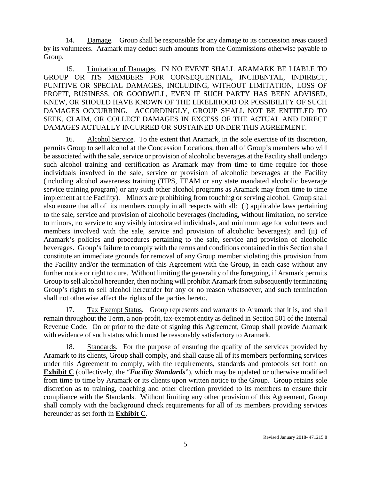14. Damage. Group shall be responsible for any damage to its concession areas caused by its volunteers. Aramark may deduct such amounts from the Commissions otherwise payable to Group.

15. Limitation of Damages. IN NO EVENT SHALL ARAMARK BE LIABLE TO GROUP OR ITS MEMBERS FOR CONSEQUENTIAL, INCIDENTAL, INDIRECT, PUNITIVE OR SPECIAL DAMAGES, INCLUDING, WITHOUT LIMITATION, LOSS OF PROFIT, BUSINESS, OR GOODWILL, EVEN IF SUCH PARTY HAS BEEN ADVISED, KNEW, OR SHOULD HAVE KNOWN OF THE LIKELIHOOD OR POSSIBILITY OF SUCH DAMAGES OCCURRING. ACCORDINGLY, GROUP SHALL NOT BE ENTITLED TO SEEK, CLAIM, OR COLLECT DAMAGES IN EXCESS OF THE ACTUAL AND DIRECT DAMAGES ACTUALLY INCURRED OR SUSTAINED UNDER THIS AGREEMENT.

16. Alcohol Service. To the extent that Aramark, in the sole exercise of its discretion, permits Group to sell alcohol at the Concession Locations, then all of Group's members who will be associated with the sale, service or provision of alcoholic beverages at the Facility shall undergo such alcohol training and certification as Aramark may from time to time require for those individuals involved in the sale, service or provision of alcoholic beverages at the Facility (including alcohol awareness training (TIPS, TEAM or any state mandated alcoholic beverage service training program) or any such other alcohol programs as Aramark may from time to time implement at the Facility). Minors are prohibiting from touching or serving alcohol. Group shall also ensure that all of its members comply in all respects with all: (i) applicable laws pertaining to the sale, service and provision of alcoholic beverages (including, without limitation, no service to minors, no service to any visibly intoxicated individuals, and minimum age for volunteers and members involved with the sale, service and provision of alcoholic beverages); and (ii) of Aramark's policies and procedures pertaining to the sale, service and provision of alcoholic beverages. Group's failure to comply with the terms and conditions contained in this Section shall constitute an immediate grounds for removal of any Group member violating this provision from the Facility and/or the termination of this Agreement with the Group, in each case without any further notice or right to cure. Without limiting the generality of the foregoing, if Aramark permits Group to sell alcohol hereunder, then nothing will prohibit Aramark from subsequently terminating Group's rights to sell alcohol hereunder for any or no reason whatsoever, and such termination shall not otherwise affect the rights of the parties hereto.

17. Tax Exempt Status. Group represents and warrants to Aramark that it is, and shall remain throughout the Term, a non-profit, tax-exempt entity as defined in Section 501 of the Internal Revenue Code. On or prior to the date of signing this Agreement, Group shall provide Aramark with evidence of such status which must be reasonably satisfactory to Aramark.

18. Standards. For the purpose of ensuring the quality of the services provided by Aramark to its clients, Group shall comply, and shall cause all of its members performing services under this Agreement to comply, with the requirements, standards and protocols set forth on **Exhibit C** (collectively, the "**Facility Standards**"), which may be updated or otherwise modified from time to time by Aramark or its clients upon written notice to the Group. Group retains sole discretion as to training, coaching and other direction provided to its members to ensure their compliance with the Standards. Without limiting any other provision of this Agreement, Group shall comply with the background check requirements for all of its members providing services hereunder as set forth in **Exhibit C**.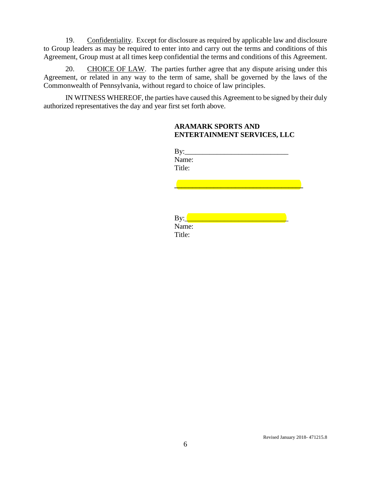19. Confidentiality. Except for disclosure as required by applicable law and disclosure to Group leaders as may be required to enter into and carry out the terms and conditions of this Agreement, Group must at all times keep confidential the terms and conditions of this Agreement.

20. CHOICE OF LAW. The parties further agree that any dispute arising under this Agreement, or related in any way to the term of same, shall be governed by the laws of the Commonwealth of Pennsylvania, without regard to choice of law principles.

IN WITNESS WHEREOF, the parties have caused this Agreement to be signed by their duly authorized representatives the day and year first set forth above.

### **ARAMARK SPORTS AND ENTERTAINMENT SERVICES, LLC**

| $\rm\,By:$ |  |
|------------|--|
| Name:      |  |
| Title:     |  |

**\_\_\_\_\_\_\_\_\_\_\_\_\_\_\_\_\_\_\_\_\_\_\_\_\_\_\_\_\_\_\_\_\_\_\_\_**

| By:    |  |
|--------|--|
| Name:  |  |
| Title: |  |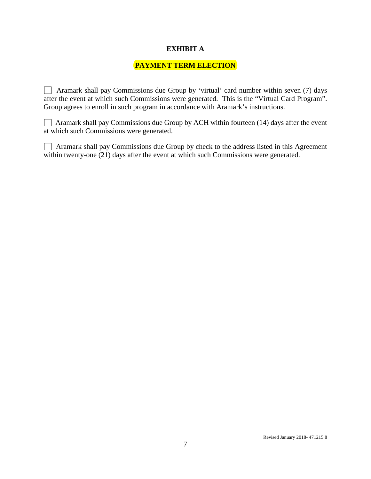### **EXHIBIT A**

# **PAYMENT TERM ELECTION**

 Aramark shall pay Commissions due Group by 'virtual' card number within seven (7) days after the event at which such Commissions were generated. This is the "Virtual Card Program". Group agrees to enroll in such program in accordance with Aramark's instructions.

 $\Box$  Aramark shall pay Commissions due Group by ACH within fourteen (14) days after the event at which such Commissions were generated.

| Aramark shall pay Commissions due Group by check to the address listed in this Agreement |  |
|------------------------------------------------------------------------------------------|--|
| within twenty-one (21) days after the event at which such Commissions were generated.    |  |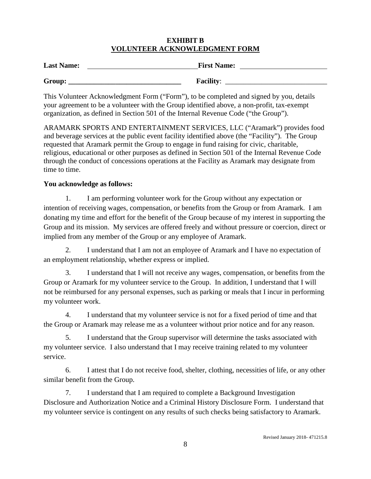## **EXHIBIT B VOLUNTEER ACKNOWLEDGMENT FORM**

| <b>Last Name:</b> | <b>First Name:</b> |
|-------------------|--------------------|
| Group:            | <b>Facility:</b>   |

This Volunteer Acknowledgment Form ("Form"), to be completed and signed by you, details your agreement to be a volunteer with the Group identified above, a non-profit, tax-exempt organization, as defined in Section 501 of the Internal Revenue Code ("the Group").

ARAMARK SPORTS AND ENTERTAINMENT SERVICES, LLC ("Aramark") provides food and beverage services at the public event facility identified above (the "Facility"). The Group requested that Aramark permit the Group to engage in fund raising for civic, charitable, religious, educational or other purposes as defined in Section 501 of the Internal Revenue Code through the conduct of concessions operations at the Facility as Aramark may designate from time to time.

## **You acknowledge as follows:**

1. I am performing volunteer work for the Group without any expectation or intention of receiving wages, compensation, or benefits from the Group or from Aramark. I am donating my time and effort for the benefit of the Group because of my interest in supporting the Group and its mission. My services are offered freely and without pressure or coercion, direct or implied from any member of the Group or any employee of Aramark.

2. I understand that I am not an employee of Aramark and I have no expectation of an employment relationship, whether express or implied.

3. I understand that I will not receive any wages, compensation, or benefits from the Group or Aramark for my volunteer service to the Group. In addition, I understand that I will not be reimbursed for any personal expenses, such as parking or meals that I incur in performing my volunteer work.

4. I understand that my volunteer service is not for a fixed period of time and that the Group or Aramark may release me as a volunteer without prior notice and for any reason.

5. I understand that the Group supervisor will determine the tasks associated with my volunteer service. I also understand that I may receive training related to my volunteer service.

6. I attest that I do not receive food, shelter, clothing, necessities of life, or any other similar benefit from the Group.

7. I understand that I am required to complete a Background Investigation Disclosure and Authorization Notice and a Criminal History Disclosure Form. I understand that my volunteer service is contingent on any results of such checks being satisfactory to Aramark.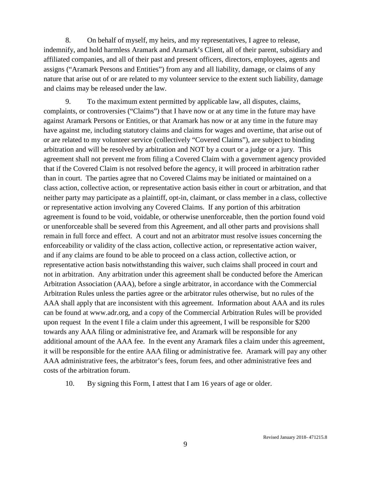8. On behalf of myself, my heirs, and my representatives, I agree to release, indemnify, and hold harmless Aramark and Aramark's Client, all of their parent, subsidiary and affiliated companies, and all of their past and present officers, directors, employees, agents and assigns ("Aramark Persons and Entities") from any and all liability, damage, or claims of any nature that arise out of or are related to my volunteer service to the extent such liability, damage and claims may be released under the law.

9. To the maximum extent permitted by applicable law, all disputes, claims, complaints, or controversies ("Claims") that I have now or at any time in the future may have against Aramark Persons or Entities, or that Aramark has now or at any time in the future may have against me, including statutory claims and claims for wages and overtime, that arise out of or are related to my volunteer service (collectively "Covered Claims"), are subject to binding arbitration and will be resolved by arbitration and NOT by a court or a judge or a jury. This agreement shall not prevent me from filing a Covered Claim with a government agency provided that if the Covered Claim is not resolved before the agency, it will proceed in arbitration rather than in court. The parties agree that no Covered Claims may be initiated or maintained on a class action, collective action, or representative action basis either in court or arbitration, and that neither party may participate as a plaintiff, opt-in, claimant, or class member in a class, collective or representative action involving any Covered Claims. If any portion of this arbitration agreement is found to be void, voidable, or otherwise unenforceable, then the portion found void or unenforceable shall be severed from this Agreement, and all other parts and provisions shall remain in full force and effect. A court and not an arbitrator must resolve issues concerning the enforceability or validity of the class action, collective action, or representative action waiver, and if any claims are found to be able to proceed on a class action, collective action, or representative action basis notwithstanding this waiver, such claims shall proceed in court and not in arbitration. Any arbitration under this agreement shall be conducted before the American Arbitration Association (AAA), before a single arbitrator, in accordance with the Commercial Arbitration Rules unless the parties agree or the arbitrator rules otherwise, but no rules of the AAA shall apply that are inconsistent with this agreement. Information about AAA and its rules can be found at [www.adr.org,](https://urldefense.proofpoint.com/v2/url?u=http-3A__www.adr.org&d=DwMGaQ&c=wbMekZ1iboz3wtx3lILI8YgCUSSh7g3G58syakvKORs&r=XRKdUNvr223eEIoaR9lyh17aMDSP_Ac1smV7Tc0BNx0&m=7YH84vkPHufpPKK4nNoT4LxLhU0aDOnxoP4gcnPaGaI&s=0iNmpenMFIaO5w4DrQsg82kUN3ndY8IFSF9Wctg0izM&e=) and a copy of the Commercial Arbitration Rules will be provided upon request In the event I file a claim under this agreement, I will be responsible for \$200 towards any AAA filing or administrative fee, and Aramark will be responsible for any additional amount of the AAA fee. In the event any Aramark files a claim under this agreement, it will be responsible for the entire AAA filing or administrative fee. Aramark will pay any other AAA administrative fees, the arbitrator's fees, forum fees, and other administrative fees and costs of the arbitration forum.

10. By signing this Form, I attest that I am 16 years of age or older.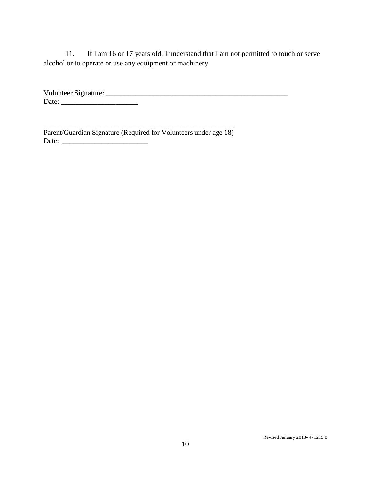11. If I am 16 or 17 years old, I understand that I am not permitted to touch or serve alcohol or to operate or use any equipment or machinery.

Volunteer Signature: \_\_\_\_\_\_\_\_\_\_\_\_\_\_\_\_\_\_\_\_\_\_\_\_\_\_\_\_\_\_\_\_\_\_\_\_\_\_\_\_\_\_\_\_\_\_\_\_\_\_ Date: \_\_\_\_\_\_\_\_\_\_\_\_\_\_\_\_\_\_\_\_\_

\_\_\_\_\_\_\_\_\_\_\_\_\_\_\_\_\_\_\_\_\_\_\_\_\_\_\_\_\_\_\_\_\_\_\_\_\_\_\_\_\_\_\_\_\_\_\_\_\_\_\_\_\_ Parent/Guardian Signature (Required for Volunteers under age 18) Date: \_\_\_\_\_\_\_\_\_\_\_\_\_\_\_\_\_\_\_\_\_\_\_\_